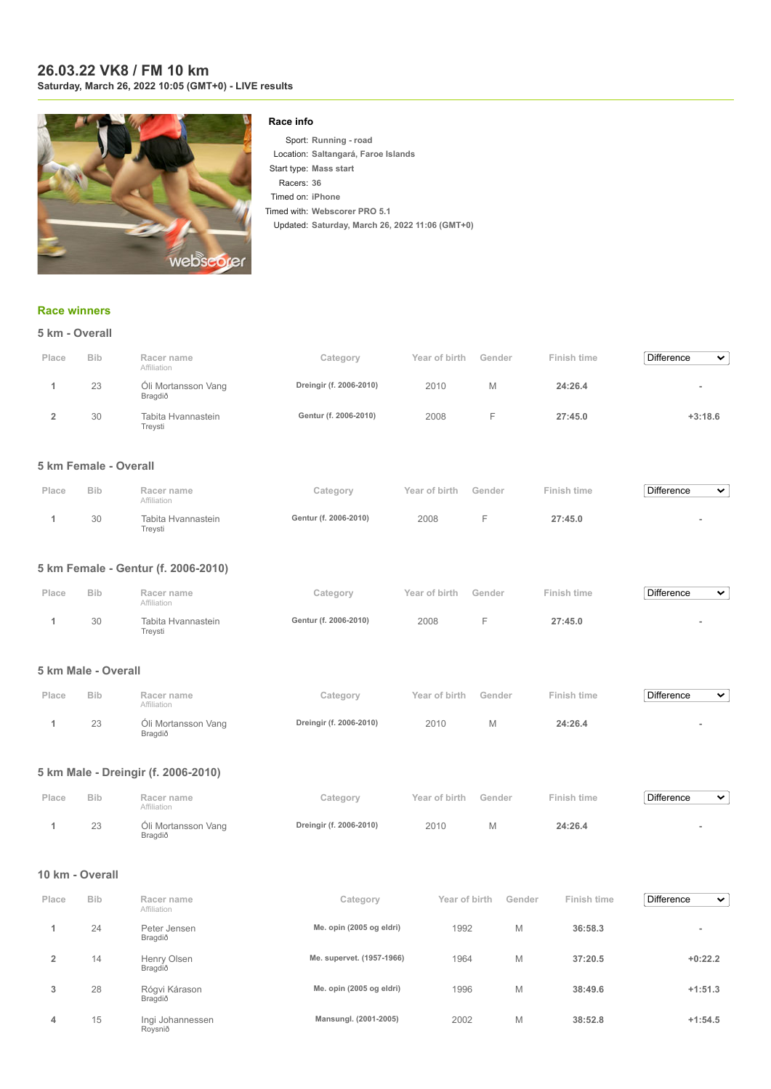### **26.03.22 VK8 / FM 10 km Saturday, March 26, 2022 10:05 (GMT+0) - LIVE results**



### **Race info**

Sport: **Running - road** Location: **Saltangará, Faroe Islands** Start type: **Mass start** Racers: **36** Timed on: **iPhone** Timed with: **Webscorer PRO 5.1** Updated: **Saturday, March 26, 2022 11:06 (GMT+0)**

## **[Race winners](https://www.webscorer.com/race?raceid=271730)**

|       | 5 km - Overall |                                |                         |               |        |             |                                   |  |  |  |  |
|-------|----------------|--------------------------------|-------------------------|---------------|--------|-------------|-----------------------------------|--|--|--|--|
| Place | <b>Bib</b>     | Racer name<br>Affiliation      | Category                | Year of birth | Gender | Finish time | <b>Difference</b><br>$\checkmark$ |  |  |  |  |
|       | 23             | Óli Mortansson Vang<br>Bragdið | Dreingir (f. 2006-2010) | 2010          | Μ      | 24:26.4     | $\sim$                            |  |  |  |  |
|       | 30             | Tabita Hvannastein<br>Treysti  | Gentur (f. 2006-2010)   | 2008          | Е      | 27:45.0     | $+3:18.6$                         |  |  |  |  |

## **5 km Female - Overall**

| Place | <b>Bib</b> | Racer name<br>Affiliation     | Category              | Year of birth | Gender | Finish time | <b>Difference</b><br>$\tilde{\phantom{a}}$ |
|-------|------------|-------------------------------|-----------------------|---------------|--------|-------------|--------------------------------------------|
|       | 30         | Tabita Hvannastein<br>Trevsti | Gentur (f. 2006-2010) | 2008          |        | 27:45.0     |                                            |

## **5 km Female - Gentur (f. 2006-2010)**

| Place | <b>Bib</b> | Racer name<br>Affiliation     | Category              | Year of birth | Gender | Finish time | <b>Difference</b><br>$\checkmark$ |
|-------|------------|-------------------------------|-----------------------|---------------|--------|-------------|-----------------------------------|
|       | 30         | Tabita Hvannastein<br>Treysti | Gentur (f. 2006-2010) | 2008          |        | 27:45.0     |                                   |

#### **5 km Male - Overall**

| Place | <b>Bib</b> | Racer name<br>Affiliation      | Category                | Year of birth | Gender | Finish time | Difference<br>$\checkmark$ |
|-------|------------|--------------------------------|-------------------------|---------------|--------|-------------|----------------------------|
|       | 23         | Óli Mortansson Vang<br>Bragdið | Dreingir (f. 2006-2010) | 2010          |        | 24:26.4     |                            |

#### **5 km Male - Dreingir (f. 2006-2010)**

| Place | <b>Bib</b> | Racer name<br>Affiliation      | Category                | Year of birth Gender | Finish time | Difference<br>$\checkmark$ |
|-------|------------|--------------------------------|-------------------------|----------------------|-------------|----------------------------|
|       | 23         | Óli Mortansson Vang<br>Bragdið | Dreingir (f. 2006-2010) | 2010                 | 24:26.4     |                            |

#### **10 km - Overall**

| Place          | <b>Bib</b> | Racer name<br>Affiliation   | Category                  | Year of birth | Gender | Finish time | <b>Difference</b><br>$\checkmark$ |
|----------------|------------|-----------------------------|---------------------------|---------------|--------|-------------|-----------------------------------|
|                | 24         | Peter Jensen<br>Bragdið     | Me. opin (2005 og eldri)  | 1992          | M      | 36:58.3     | $\overline{\phantom{a}}$          |
| $\overline{2}$ | 14         | Henry Olsen<br>Bragdið      | Me. supervet. (1957-1966) | 1964          | M      | 37:20.5     | $+0:22.2$                         |
| 3              | 28         | Rógvi Kárason<br>Bragdið    | Me. opin (2005 og eldri)  | 1996          | M      | 38:49.6     | $+1:51.3$                         |
| 4              | 15         | Ingi Johannessen<br>Roysnið | Mansungl. (2001-2005)     | 2002          | M      | 38:52.8     | $+1:54.5$                         |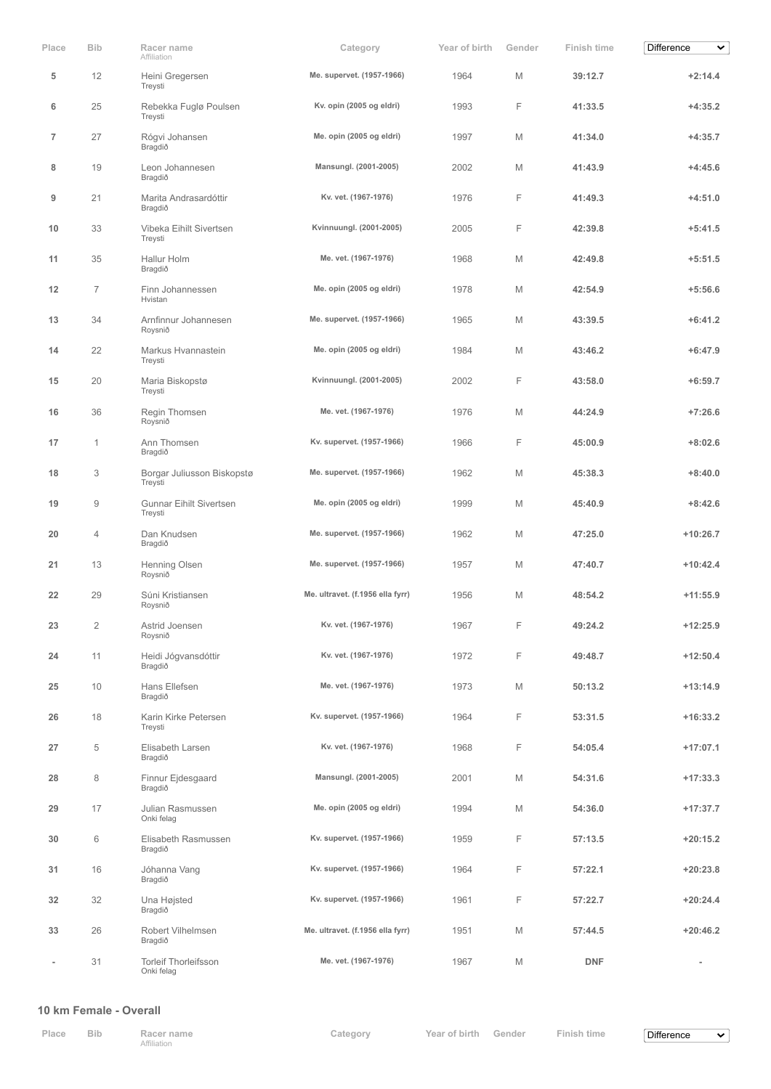| Place          | <b>Bib</b>     | Racer name<br>Affiliation                 | Category                         | Year of birth | Gender | Finish time | <b>Difference</b><br>▽   |
|----------------|----------------|-------------------------------------------|----------------------------------|---------------|--------|-------------|--------------------------|
| 5              | 12             | Heini Gregersen<br>Treysti                | Me. supervet. (1957-1966)        | 1964          | M      | 39:12.7     | $+2:14.4$                |
| 6              | 25             | Rebekka Fuglø Poulsen<br>Treysti          | Kv. opin (2005 og eldri)         | 1993          | F      | 41:33.5     | $+4:35.2$                |
| $\overline{7}$ | 27             | Rógvi Johansen<br>Bragdið                 | Me. opin (2005 og eldri)         | 1997          | M      | 41:34.0     | $+4:35.7$                |
| 8              | 19             | Leon Johannesen<br>Bragdið                | Mansungl. (2001-2005)            | 2002          | M      | 41:43.9     | $+4:45.6$                |
| 9              | 21             | Marita Andrasardóttir<br>Bragdið          | Kv. vet. (1967-1976)             | 1976          | F      | 41:49.3     | $+4:51.0$                |
| 10             | 33             | Vibeka Eihilt Sivertsen<br>Treysti        | Kvinnuungl. (2001-2005)          | 2005          | F      | 42:39.8     | $+5:41.5$                |
| 11             | 35             | Hallur Holm<br>Bragdið                    | Me. vet. (1967-1976)             | 1968          | M      | 42:49.8     | $+5:51.5$                |
| 12             | $\overline{7}$ | Finn Johannessen<br>Hvistan               | Me. opin (2005 og eldri)         | 1978          | M      | 42:54.9     | $+5:56.6$                |
| 13             | 34             | Arnfinnur Johannesen<br>Roysnið           | Me. supervet. (1957-1966)        | 1965          | M      | 43:39.5     | $+6:41.2$                |
| 14             | 22             | Markus Hvannastein<br>Treysti             | Me. opin (2005 og eldri)         | 1984          | M      | 43:46.2     | $+6:47.9$                |
| 15             | 20             | Maria Biskopstø<br>Treysti                | Kvinnuungl. (2001-2005)          | 2002          | F      | 43:58.0     | $+6:59.7$                |
| 16             | 36             | Regin Thomsen<br>Roysnið                  | Me. vet. (1967-1976)             | 1976          | M      | 44:24.9     | $+7:26.6$                |
| 17             | 1              | Ann Thomsen<br>Bragdið                    | Kv. supervet. (1957-1966)        | 1966          | F      | 45:00.9     | $+8:02.6$                |
| 18             | 3              | Borgar Juliusson Biskopstø<br>Treysti     | Me. supervet. (1957-1966)        | 1962          | M      | 45:38.3     | $+8:40.0$                |
| 19             | 9              | <b>Gunnar Eihilt Sivertsen</b><br>Treysti | Me. opin (2005 og eldri)         | 1999          | M      | 45:40.9     | $+8:42.6$                |
| 20             | 4              | Dan Knudsen<br>Bragdið                    | Me. supervet. (1957-1966)        | 1962          | M      | 47:25.0     | $+10:26.7$               |
| 21             | 13             | Henning Olsen<br>Roysnið                  | Me. supervet. (1957-1966)        | 1957          | M      | 47:40.7     | $+10:42.4$               |
| 22             | 29             | Súni Kristiansen<br>Roysnið               | Me. ultravet. (f.1956 ella fyrr) | 1956          | Μ      | 48:54.2     | $+11:55.9$               |
| $23\,$         | 2              | Astrid Joensen<br>Roysnið                 | Kv. vet. (1967-1976)             | 1967          | F      | 49:24.2     | $+12:25.9$               |
| 24             | 11             | Heidi Jógvansdóttir<br>Bragdið            | Kv. vet. (1967-1976)             | 1972          | F      | 49:48.7     | $+12:50.4$               |
| 25             | 10             | Hans Ellefsen<br>Bragdið                  | Me. vet. (1967-1976)             | 1973          | M      | 50:13.2     | $+13:14.9$               |
| 26             | 18             | Karin Kirke Petersen<br>Treysti           | Kv. supervet. (1957-1966)        | 1964          | F      | 53:31.5     | $+16:33.2$               |
| 27             | 5              | Elisabeth Larsen<br>Bragdið               | Kv. vet. (1967-1976)             | 1968          | F      | 54:05.4     | $+17:07.1$               |
| 28             | 8              | Finnur Ejdesgaard<br>Bragdið              | Mansungl. (2001-2005)            | 2001          | M      | 54:31.6     | $+17:33.3$               |
| 29             | 17             | Julian Rasmussen<br>Onki felag            | Me. opin (2005 og eldri)         | 1994          | M      | 54:36.0     | $+17:37.7$               |
| 30             | 6              | Elisabeth Rasmussen<br>Bragdið            | Kv. supervet. (1957-1966)        | 1959          | F      | 57:13.5     | $+20:15.2$               |
| 31             | 16             | Jóhanna Vang<br>Bragdið                   | Kv. supervet. (1957-1966)        | 1964          | F      | 57:22.1     | $+20:23.8$               |
| 32             | 32             | Una Højsted<br>Bragdið                    | Kv. supervet. (1957-1966)        | 1961          | F      | 57:22.7     | $+20:24.4$               |
| 33             | 26             | Robert Vilhelmsen<br>Bragdið              | Me. ultravet. (f.1956 ella fyrr) | 1951          | M      | 57:44.5     | $+20:46.2$               |
| $\overline{a}$ | 31             | <b>Torleif Thorleifsson</b><br>Onki felag | Me. vet. (1967-1976)             | 1967          | М      | <b>DNF</b>  | $\overline{\phantom{a}}$ |

### **10 km Female - Overall**

| Place | Bib. | Racer name  | Category | Year of birth Gender | Finish time | Difference |
|-------|------|-------------|----------|----------------------|-------------|------------|
|       |      | Affiliation |          |                      |             |            |

 $\blacktriangledown$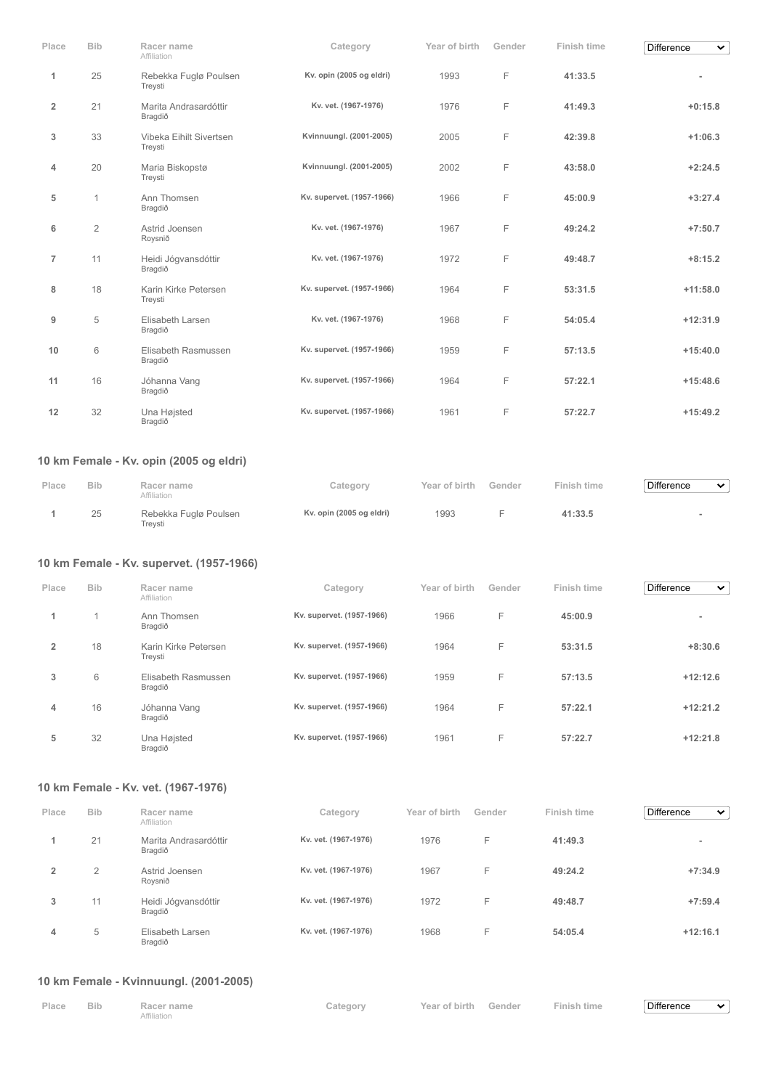| Place                   | <b>Bib</b>     | Racer name<br>Affiliation                | Category                  | Year of birth | Gender | Finish time        | <b>Difference</b><br>$\checkmark$ |
|-------------------------|----------------|------------------------------------------|---------------------------|---------------|--------|--------------------|-----------------------------------|
| 1                       | 25             | Rebekka Fuglø Poulsen<br>Treysti         | Kv. opin (2005 og eldri)  | 1993          | F      | 41:33.5            |                                   |
| $\overline{\mathbf{2}}$ | 21             | Marita Andrasardóttir<br>Bragdið         | Kv. vet. (1967-1976)      | 1976          | F      | 41:49.3            | $+0:15.8$                         |
| 3                       | 33             | Vibeka Eihilt Sivertsen<br>Treysti       | Kvinnuungl. (2001-2005)   | 2005          | F      | 42:39.8            | $+1:06.3$                         |
| 4                       | 20             | Maria Biskopstø<br>Treysti               | Kvinnuungl. (2001-2005)   | 2002          | F      | 43:58.0            | $+2:24.5$                         |
| 5                       | 1              | Ann Thomsen<br>Bragdið                   | Kv. supervet. (1957-1966) | 1966          | F      | 45:00.9            | $+3:27.4$                         |
| 6                       | $\overline{2}$ | Astrid Joensen<br>Roysnið                | Kv. vet. (1967-1976)      | 1967          | F      | 49:24.2            | $+7:50.7$                         |
| $\overline{7}$          | 11             | Heidi Jógvansdóttir<br>Bragdið           | Kv. vet. (1967-1976)      | 1972          | F      | 49:48.7            | $+8:15.2$                         |
| 8                       | 18             | Karin Kirke Petersen<br>Treysti          | Kv. supervet. (1957-1966) | 1964          | F      | 53:31.5            | $+11:58.0$                        |
| 9                       | 5              | Elisabeth Larsen<br>Bragdið              | Kv. vet. (1967-1976)      | 1968          | F      | 54:05.4            | $+12:31.9$                        |
| 10                      | 6              | Elisabeth Rasmussen<br>Bragdið           | Kv. supervet. (1957-1966) | 1959          | F      | 57:13.5            | $+15:40.0$                        |
| 11                      | 16             | Jóhanna Vang<br>Bragdið                  | Kv. supervet. (1957-1966) | 1964          | F      | 57:22.1            | $+15:48.6$                        |
| 12                      | 32             | Una Højsted<br>Bragdið                   | Kv. supervet. (1957-1966) | 1961          | F      | 57:22.7            | $+15:49.2$                        |
|                         |                | 10 km Female - Kv. opin (2005 og eldri)  |                           |               |        |                    |                                   |
| Place                   | <b>Bib</b>     | Racer name<br>Affiliation                | Category                  | Year of birth | Gender | Finish time        | Difference<br>v                   |
| 1                       | 25             | Rebekka Fuglø Poulsen<br>Treysti         | Kv. opin (2005 og eldri)  | 1993          | F      | 41:33.5            |                                   |
|                         |                | 10 km Female - Kv. supervet. (1957-1966) |                           |               |        |                    |                                   |
| Place                   | <b>Bib</b>     | Racer name<br>Affiliation                | Category                  | Year of birth | Gender | <b>Finish time</b> | Difference<br>$\checkmark$        |
| 1.                      | 1              | Ann Thomsen<br>Bragdið                   | Kv. supervet. (1957-1966) | 1966          | F      | 45:00.9            |                                   |
| $\overline{2}$          | 18             | Karin Kirke Petersen<br>Treysti          | Kv. supervet. (1957-1966) | 1964          | F      | 53:31.5            | $+8:30.6$                         |
| 3                       | 6              | Elisabeth Rasmussen<br>Bragdið           | Kv. supervet. (1957-1966) | 1959          | F      | 57:13.5            | $+12:12.6$                        |
| 4                       | 16             | Jóhanna Vang<br>Bragdið                  | Kv. supervet. (1957-1966) | 1964          | F      | 57:22.1            | $+12:21.2$                        |
| 5                       | 32             | Una Højsted<br>Bragdið                   | Kv. supervet. (1957-1966) | 1961          | F      | 57:22.7            | $+12:21.8$                        |
|                         |                |                                          |                           |               |        |                    |                                   |

# **10 km Female - Kv. vet. (1967-1976)**

| Place          | <b>Bib</b>                    | Racer name<br>Affiliation        | Category             | Year of birth | Gender | Finish time | <b>Difference</b><br>$\checkmark$ |
|----------------|-------------------------------|----------------------------------|----------------------|---------------|--------|-------------|-----------------------------------|
|                | 21                            | Marita Andrasardóttir<br>Bragdið | Kv. vet. (1967-1976) | 1976          | F      | 41:49.3     |                                   |
| $\overline{2}$ | $\overline{2}$                | Astrid Joensen<br>Rovsnið        | Kv. vet. (1967-1976) | 1967          | F      | 49:24.2     | $+7:34.9$                         |
| 3              | 11                            | Heidi Jógvansdóttir<br>Bragdið   | Kv. vet. (1967-1976) | 1972          | F      | 49:48.7     | $+7:59.4$                         |
| 4              | $\overline{\phantom{a}}$<br>5 | Elisabeth Larsen<br>Bragdið      | Kv. vet. (1967-1976) | 1968          | F      | 54:05.4     | $+12:16.1$                        |

# **10 km Female - Kvinnuungl. (2001-2005)**

| Place Bib | Racer name  | Category | Year of birth Gender Finish time |  | Difference | $\overline{\phantom{a}}$ |
|-----------|-------------|----------|----------------------------------|--|------------|--------------------------|
|           | Affiliation |          |                                  |  |            |                          |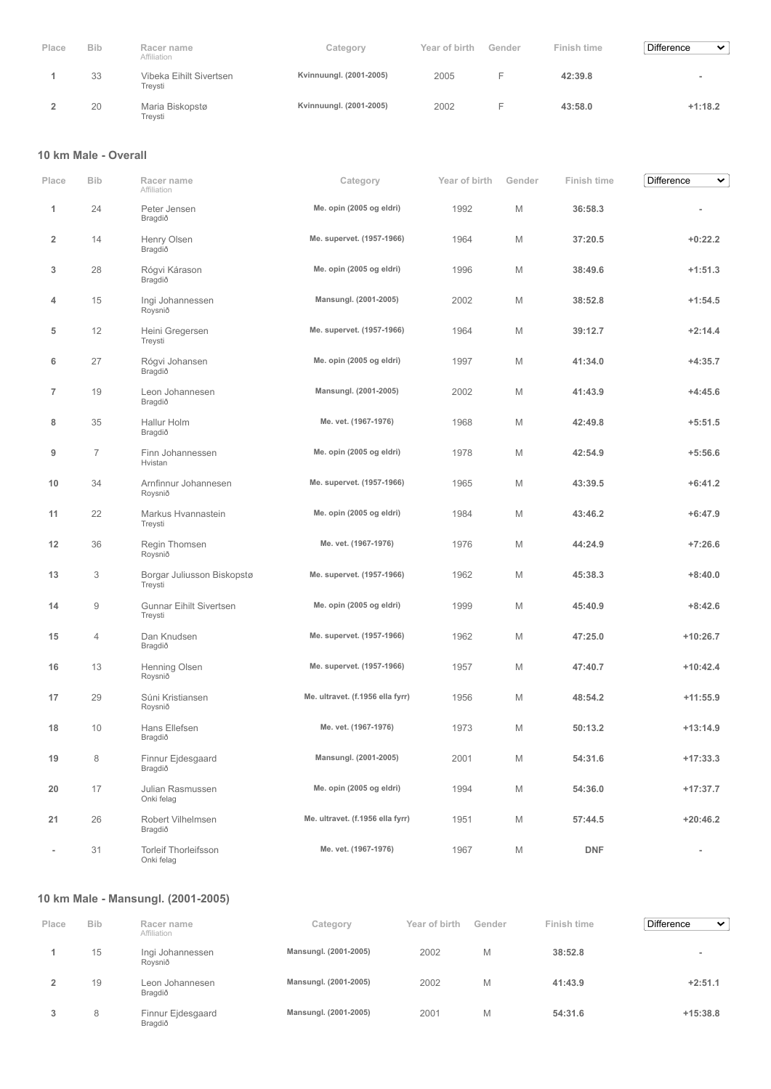| Place | <b>Bib</b> | Racer name<br>Affiliation          | Category                | Year of birth | Gender | Finish time | Difference<br>$\checkmark$ |
|-------|------------|------------------------------------|-------------------------|---------------|--------|-------------|----------------------------|
|       | 33         | Vibeka Eihilt Sivertsen<br>Treysti | Kvinnuungl. (2001-2005) | 2005          |        | 42:39.8     |                            |
|       | 20         | Maria Biskopstø<br>Treysti         | Kvinnuungl. (2001-2005) | 2002          |        | 43:58.0     | $+1:18.2$                  |

#### **10 km Male - Overall**

| Place                    | <b>Bib</b>     | Racer name<br>Affiliation                 | Category                         | Year of birth | Gender | Finish time | <b>Difference</b><br>v   |
|--------------------------|----------------|-------------------------------------------|----------------------------------|---------------|--------|-------------|--------------------------|
| 1                        | 24             | Peter Jensen<br>Bragdið                   | Me. opin (2005 og eldri)         | 1992          | M      | 36:58.3     |                          |
| 2                        | 14             | Henry Olsen<br>Bragdið                    | Me. supervet. (1957-1966)        | 1964          | M      | 37:20.5     | $+0:22.2$                |
| 3                        | 28             | Rógvi Kárason<br>Bragdið                  | Me. opin (2005 og eldri)         | 1996          | M      | 38:49.6     | $+1:51.3$                |
| 4                        | 15             | Ingi Johannessen<br>Roysnið               | Mansungl. (2001-2005)            | 2002          | M      | 38:52.8     | $+1:54.5$                |
| 5                        | 12             | Heini Gregersen<br>Treysti                | Me. supervet. (1957-1966)        | 1964          | M      | 39:12.7     | $+2:14.4$                |
| 6                        | 27             | Rógvi Johansen<br>Bragdið                 | Me. opin (2005 og eldri)         | 1997          | M      | 41:34.0     | $+4:35.7$                |
| $\overline{7}$           | 19             | Leon Johannesen<br>Bragdið                | Mansungl. (2001-2005)            | 2002          | M      | 41:43.9     | $+4:45.6$                |
| 8                        | 35             | Hallur Holm<br>Bragdið                    | Me. vet. (1967-1976)             | 1968          | M      | 42:49.8     | $+5:51.5$                |
| 9                        | $\overline{7}$ | Finn Johannessen<br>Hvistan               | Me. opin (2005 og eldri)         | 1978          | M      | 42:54.9     | $+5:56.6$                |
| 10                       | 34             | Arnfinnur Johannesen<br>Roysnið           | Me. supervet. (1957-1966)        | 1965          | M      | 43:39.5     | $+6:41.2$                |
| 11                       | 22             | Markus Hvannastein<br>Treysti             | Me. opin (2005 og eldri)         | 1984          | M      | 43:46.2     | $+6:47.9$                |
| 12                       | 36             | Regin Thomsen<br>Roysnið                  | Me. vet. (1967-1976)             | 1976          | M      | 44:24.9     | $+7:26.6$                |
| 13                       | 3              | Borgar Juliusson Biskopstø<br>Treysti     | Me. supervet. (1957-1966)        | 1962          | M      | 45:38.3     | $+8:40.0$                |
| 14                       | 9              | <b>Gunnar Eihilt Sivertsen</b><br>Treysti | Me. opin (2005 og eldri)         | 1999          | M      | 45:40.9     | $+8:42.6$                |
| 15                       | 4              | Dan Knudsen<br>Bragdið                    | Me. supervet. (1957-1966)        | 1962          | M      | 47:25.0     | $+10:26.7$               |
| 16                       | 13             | Henning Olsen<br>Roysnið                  | Me. supervet. (1957-1966)        | 1957          | M      | 47:40.7     | $+10:42.4$               |
| 17                       | 29             | Súni Kristiansen<br>Roysnið               | Me. ultravet. (f.1956 ella fyrr) | 1956          | M      | 48:54.2     | $+11:55.9$               |
| 18                       | 10             | Hans Ellefsen<br>Bragdið                  | Me. vet. (1967-1976)             | 1973          | M      | 50:13.2     | $+13:14.9$               |
| 19                       | 8              | Finnur Ejdesgaard<br>Bragdið              | Mansungl. (2001-2005)            | 2001          | M      | 54:31.6     | $+17:33.3$               |
| 20                       | 17             | Julian Rasmussen<br>Onki felag            | Me. opin (2005 og eldri)         | 1994          | M      | 54:36.0     | $+17:37.7$               |
| 21                       | 26             | Robert Vilhelmsen<br>Bragdið              | Me. ultravet. (f.1956 ella fyrr) | 1951          | M      | 57:44.5     | $+20:46.2$               |
| $\overline{\phantom{a}}$ | 31             | <b>Torleif Thorleifsson</b><br>Onki felag | Me. vet. (1967-1976)             | 1967          | M      | <b>DNF</b>  | $\overline{\phantom{a}}$ |

# **10 km Male - Mansungl. (2001-2005)**

| Place | <b>Bib</b> | Racer name<br>Affiliation    | Category              | Year of birth | Gender | Finish time | <b>Difference</b><br>$\checkmark$ |
|-------|------------|------------------------------|-----------------------|---------------|--------|-------------|-----------------------------------|
|       | 15         | Ingi Johannessen<br>Rovsnið  | Mansungl. (2001-2005) | 2002          | M      | 38:52.8     |                                   |
|       | 19         | Leon Johannesen<br>Bragdið   | Mansungl. (2001-2005) | 2002          | M      | 41:43.9     | $+2:51.1$                         |
| 3     | 8          | Finnur Ejdesgaard<br>Bragdið | Mansungl. (2001-2005) | 2001          | M      | 54:31.6     | $+15:38.8$                        |